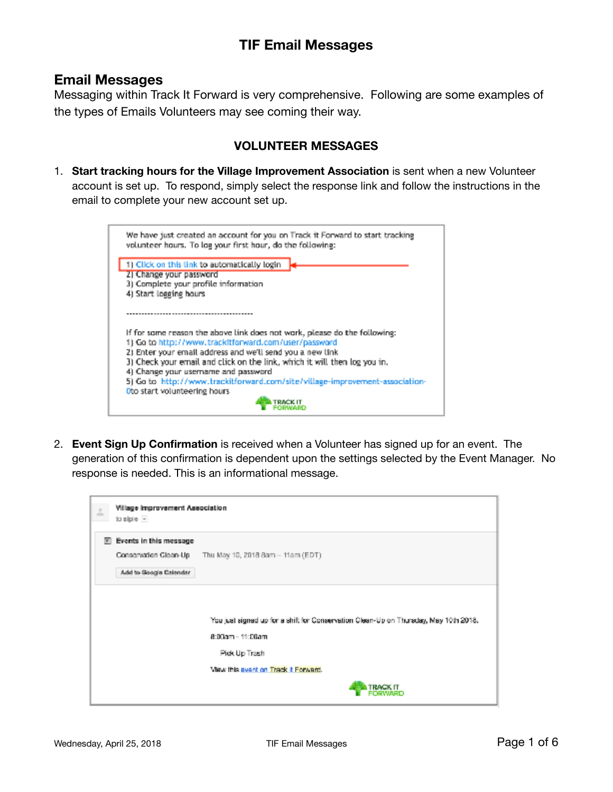#### **Email Messages**

Messaging within Track It Forward is very comprehensive. Following are some examples of the types of Emails Volunteers may see coming their way.

#### **VOLUNTEER MESSAGES**

1. **Start tracking hours for the Village Improvement Association** is sent when a new Volunteer account is set up. To respond, simply select the response link and follow the instructions in the email to complete your new account set up.



2. **Event Sign Up Confirmation** is received when a Volunteer has signed up for an event. The generation of this confirmation is dependent upon the settings selected by the Event Manager. No response is needed. This is an informational message.

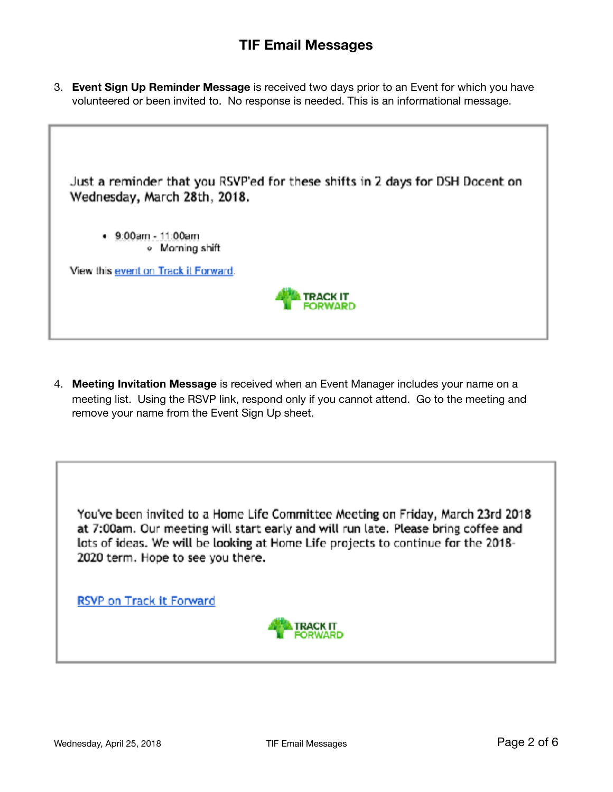3. **Event Sign Up Reminder Message** is received two days prior to an Event for which you have volunteered or been invited to. No response is needed. This is an informational message.



4. **Meeting Invitation Message** is received when an Event Manager includes your name on a meeting list. Using the RSVP link, respond only if you cannot attend. Go to the meeting and remove your name from the Event Sign Up sheet.

You've been invited to a Home Life Committee Meeting on Friday, March 23rd 2018 at 7:00am. Our meeting will start early and will run late. Please bring coffee and lots of ideas. We will be looking at Home Life projects to continue for the 2018-2020 term. Hope to see you there.

RSVP on Track it Forward

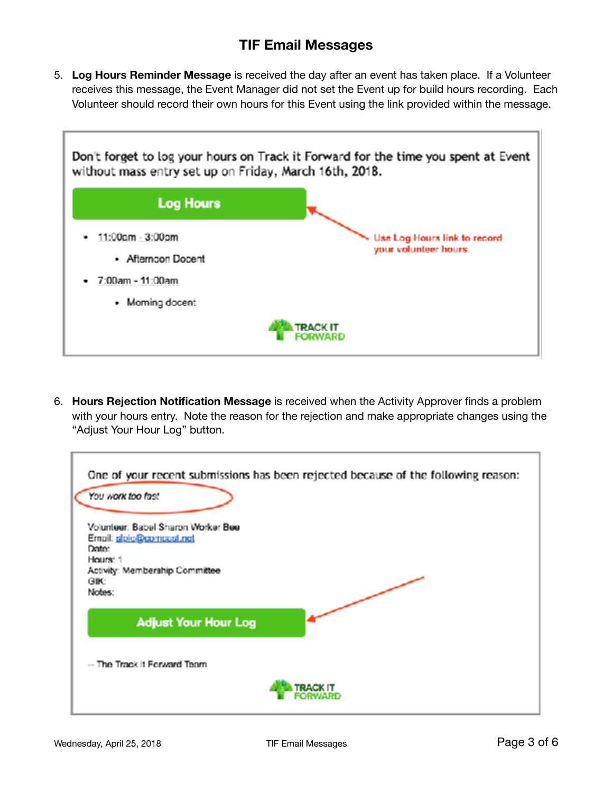5. **Log Hours Reminder Message** is received the day after an event has taken place. If a Volunteer receives this message, the Event Manager did not set the Event up for build hours recording. Each Volunteer should record their own hours for this Event using the link provided within the message.



6. **Hours Rejection Notification Message** is received when the Activity Approver finds a problem with your hours entry. Note the reason for the rejection and make appropriate changes using the "Adjust Your Hour Log" button.

| One of your recent submissions has been rejected because of the following reason:<br>You work too fast |
|--------------------------------------------------------------------------------------------------------|
|                                                                                                        |
| Volunteer: Babel Sharon Worker Bee<br>Ernail: sipic@comoast.net                                        |
| Date:                                                                                                  |
| Hours: 1                                                                                               |
| Activity: Membership Committee                                                                         |
| <b>GIK:</b>                                                                                            |
| Notes:                                                                                                 |
| <b>Adjust Your Hour Log</b>                                                                            |
| -- The Track it Forward Team                                                                           |
| <b>TRACK IT</b>                                                                                        |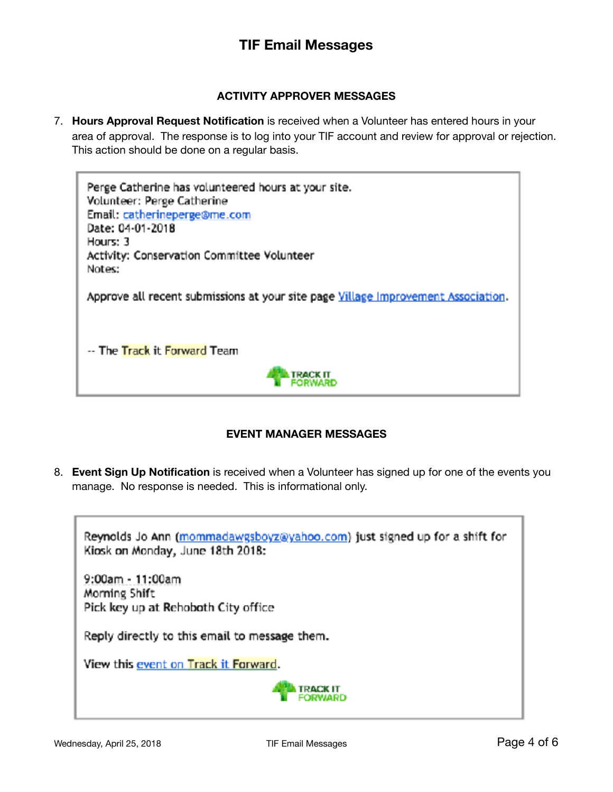#### **ACTIVITY APPROVER MESSAGES**

7. **Hours Approval Request Notification** is received when a Volunteer has entered hours in your area of approval. The response is to log into your TIF account and review for approval or rejection. This action should be done on a regular basis.

Perge Catherine has volunteered hours at your site. Volunteer: Perge Catherine Email: catherineperge@me.com Date: 04-01-2018 Hours: 3 Activity: Conservation Committee Volunteer Notes: Approve all recent submissions at your site page Village Improvement Association. -- The Track it Forward Team **TRACK IT** 

#### **EVENT MANAGER MESSAGES**

8. **Event Sign Up Notification** is received when a Volunteer has signed up for one of the events you manage. No response is needed. This is informational only.

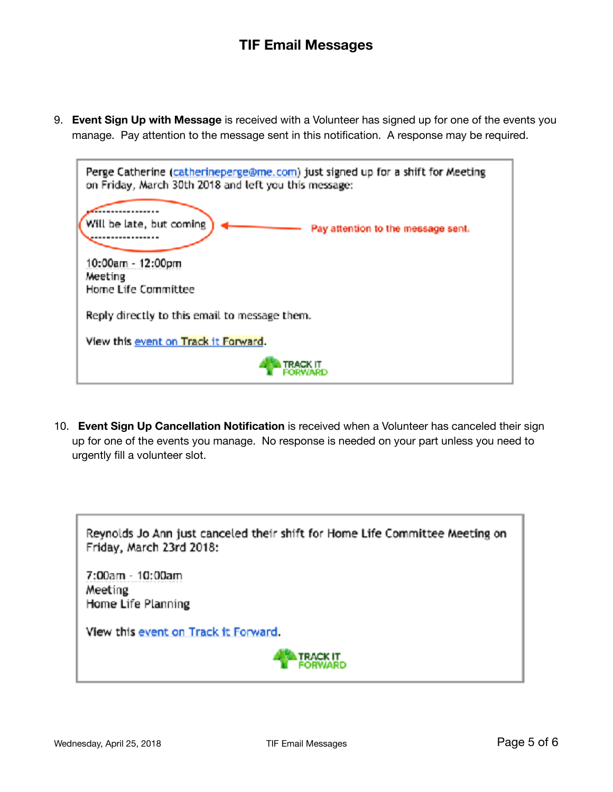9. **Event Sign Up with Message** is received with a Volunteer has signed up for one of the events you manage. Pay attention to the message sent in this notification. A response may be required.



10. **Event Sign Up Cancellation Notification** is received when a Volunteer has canceled their sign up for one of the events you manage. No response is needed on your part unless you need to urgently fill a volunteer slot.